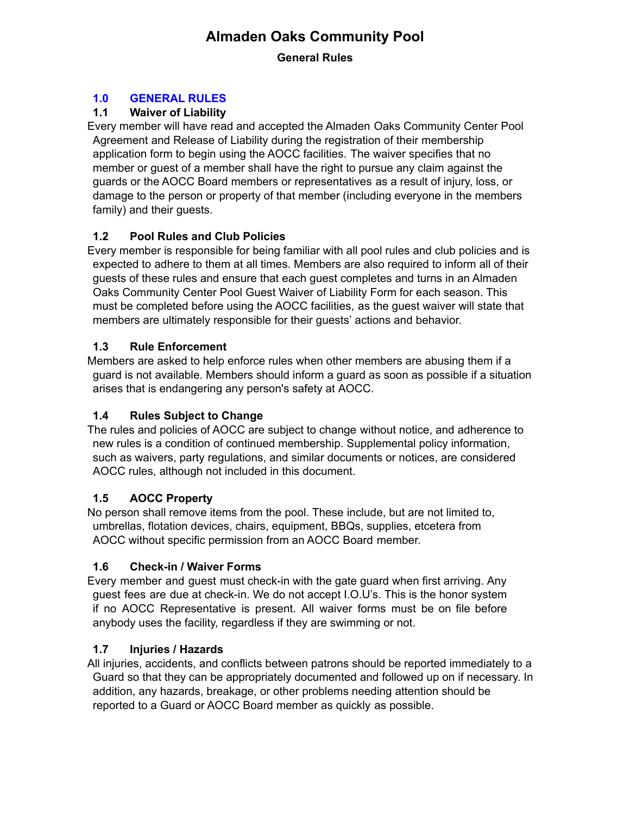# **Almaden Oaks Community Pool**

**General Rules**

## **1.0 GENERAL RULES**

## **1.1 Waiver of Liability**

Every member will have read and accepted the Almaden Oaks Community Center Pool Agreement and Release of Liability during the registration of their membership application form to begin using the AOCC facilities. The waiver specifies that no member or guest of a member shall have the right to pursue any claim against the guards or the AOCC Board members or representatives as a result of injury, loss, or damage to the person or property of that member (including everyone in the members family) and their guests.

## **1.2 Pool Rules and Club Policies**

Every member is responsible for being familiar with all pool rules and club policies and is expected to adhere to them at all times. Members are also required to inform all of their guests of these rules and ensure that each guest completes and turns in an Almaden Oaks Community Center Pool Guest Waiver of Liability Form for each season. This must be completed before using the AOCC facilities, as the guest waiver will state that members are ultimately responsible for their guests' actions and behavior.

## **1.3 Rule Enforcement**

Members are asked to help enforce rules when other members are abusing them if a guard is not available. Members should inform a guard as soon as possible if a situation arises that is endangering any person's safety at AOCC.

### **1.4 Rules Subject to Change**

The rules and policies of AOCC are subject to change without notice, and adherence to new rules is a condition of continued membership. Supplemental policy information, such as waivers, party regulations, and similar documents or notices, are considered AOCC rules, although not included in this document.

### **1.5 AOCC Property**

No person shall remove items from the pool. These include, but are not limited to, umbrellas, flotation devices, chairs, equipment, BBQs, supplies, etcetera from AOCC without specific permission from an AOCC Board member.

### **1.6 Check-in / Waiver Forms**

Every member and guest must check-in with the gate guard when first arriving. Any guest fees are due at check-in. We do not accept I.O.U's. This is the honor system if no AOCC Representative is present. All waiver forms must be on file before anybody uses the facility, regardless if they are swimming or not.

### **1.7 Injuries / Hazards**

All injuries, accidents, and conflicts between patrons should be reported immediately to a Guard so that they can be appropriately documented and followed up on if necessary. In addition, any hazards, breakage, or other problems needing attention should be reported to a Guard or AOCC Board member as quickly as possible.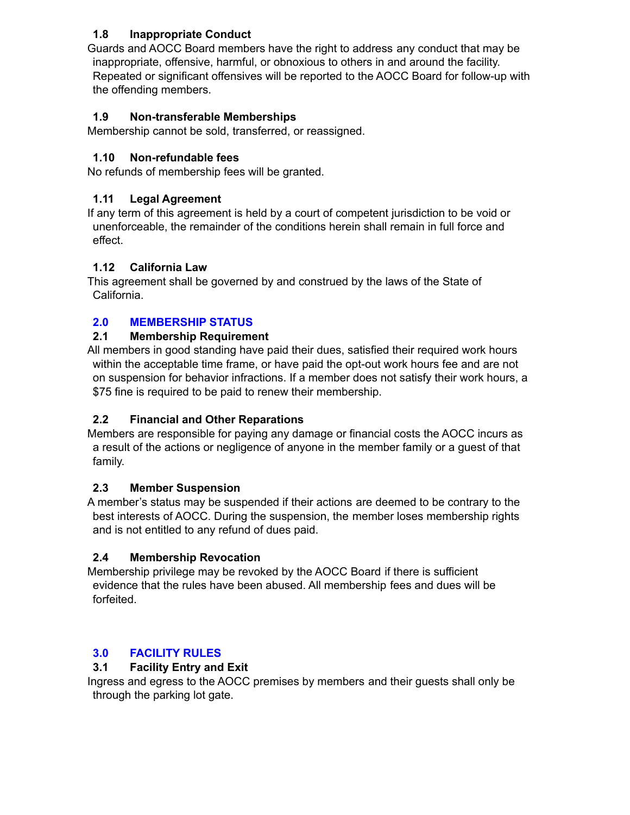### **1.8 Inappropriate Conduct**

Guards and AOCC Board members have the right to address any conduct that may be inappropriate, offensive, harmful, or obnoxious to others in and around the facility. Repeated or significant offensives will be reported to the AOCC Board for follow-up with the offending members.

### **1.9 Non-transferable Memberships**

Membership cannot be sold, transferred, or reassigned.

### **1.10 Non-refundable fees**

No refunds of membership fees will be granted.

### **1.11 Legal Agreement**

If any term of this agreement is held by a court of competent jurisdiction to be void or unenforceable, the remainder of the conditions herein shall remain in full force and effect.

#### **1.12 California Law**

This agreement shall be governed by and construed by the laws of the State of California.

### **2.0 MEMBERSHIP STATUS**

#### **2.1 Membership Requirement**

All members in good standing have paid their dues, satisfied their required work hours within the acceptable time frame, or have paid the opt-out work hours fee and are not on suspension for behavior infractions. If a member does not satisfy their work hours, a \$75 fine is required to be paid to renew their membership.

### **2.2 Financial and Other Reparations**

Members are responsible for paying any damage or financial costs the AOCC incurs as a result of the actions or negligence of anyone in the member family or a guest of that family.

#### **2.3 Member Suspension**

A member's status may be suspended if their actions are deemed to be contrary to the best interests of AOCC. During the suspension, the member loses membership rights and is not entitled to any refund of dues paid.

#### **2.4 Membership Revocation**

Membership privilege may be revoked by the AOCC Board if there is sufficient evidence that the rules have been abused. All membership fees and dues will be forfeited.

### **3.0 FACILITY RULES**

### **3.1 Facility Entry and Exit**

Ingress and egress to the AOCC premises by members and their guests shall only be through the parking lot gate.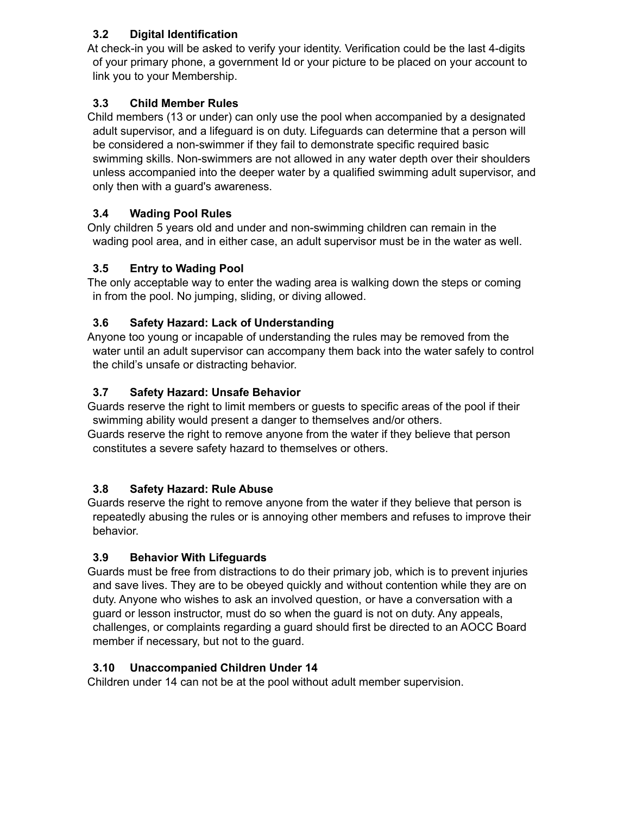### **3.2 Digital Identification**

At check-in you will be asked to verify your identity. Verification could be the last 4-digits of your primary phone, a government Id or your picture to be placed on your account to link you to your Membership.

## **3.3 Child Member Rules**

Child members (13 or under) can only use the pool when accompanied by a designated adult supervisor, and a lifeguard is on duty. Lifeguards can determine that a person will be considered a non-swimmer if they fail to demonstrate specific required basic swimming skills. Non-swimmers are not allowed in any water depth over their shoulders unless accompanied into the deeper water by a qualified swimming adult supervisor, and only then with a guard's awareness.

## **3.4 Wading Pool Rules**

Only children 5 years old and under and non-swimming children can remain in the wading pool area, and in either case, an adult supervisor must be in the water as well.

## **3.5 Entry to Wading Pool**

The only acceptable way to enter the wading area is walking down the steps or coming in from the pool. No jumping, sliding, or diving allowed.

## **3.6 Safety Hazard: Lack of Understanding**

Anyone too young or incapable of understanding the rules may be removed from the water until an adult supervisor can accompany them back into the water safely to control the child's unsafe or distracting behavior.

## **3.7 Safety Hazard: Unsafe Behavior**

Guards reserve the right to limit members or guests to specific areas of the pool if their swimming ability would present a danger to themselves and/or others. Guards reserve the right to remove anyone from the water if they believe that person

constitutes a severe safety hazard to themselves or others.

## **3.8 Safety Hazard: Rule Abuse**

Guards reserve the right to remove anyone from the water if they believe that person is repeatedly abusing the rules or is annoying other members and refuses to improve their behavior.

## **3.9 Behavior With Lifeguards**

Guards must be free from distractions to do their primary job, which is to prevent injuries and save lives. They are to be obeyed quickly and without contention while they are on duty. Anyone who wishes to ask an involved question, or have a conversation with a guard or lesson instructor, must do so when the guard is not on duty. Any appeals, challenges, or complaints regarding a guard should first be directed to an AOCC Board member if necessary, but not to the guard.

## **3.10 Unaccompanied Children Under 14**

Children under 14 can not be at the pool without adult member supervision.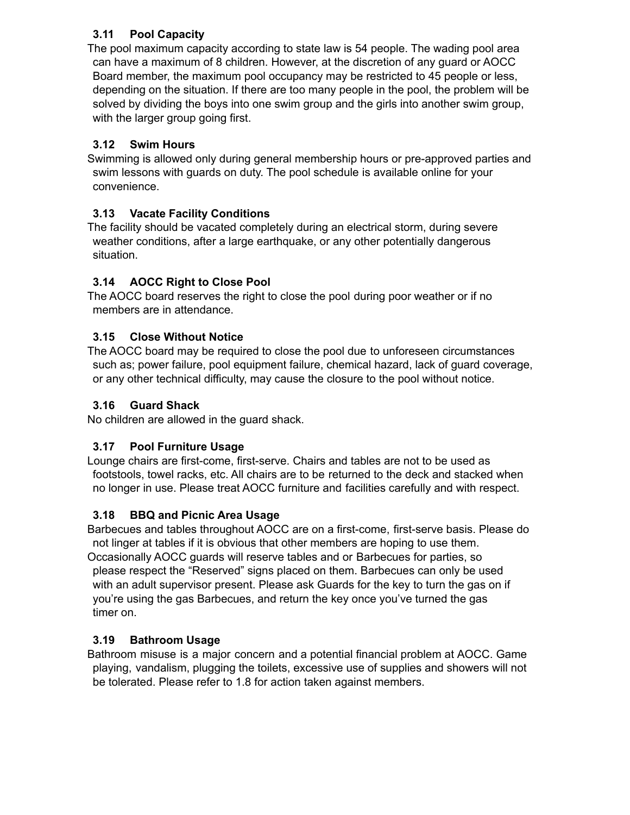## **3.11 Pool Capacity**

The pool maximum capacity according to state law is 54 people. The wading pool area can have a maximum of 8 children. However, at the discretion of any guard or AOCC Board member, the maximum pool occupancy may be restricted to 45 people or less, depending on the situation. If there are too many people in the pool, the problem will be solved by dividing the boys into one swim group and the girls into another swim group, with the larger group going first.

## **3.12 Swim Hours**

Swimming is allowed only during general membership hours or pre-approved parties and swim lessons with guards on duty. The pool schedule is available online for your convenience.

## **3.13 Vacate Facility Conditions**

The facility should be vacated completely during an electrical storm, during severe weather conditions, after a large earthquake, or any other potentially dangerous situation.

## **3.14 AOCC Right to Close Pool**

The AOCC board reserves the right to close the pool during poor weather or if no members are in attendance.

### **3.15 Close Without Notice**

The AOCC board may be required to close the pool due to unforeseen circumstances such as; power failure, pool equipment failure, chemical hazard, lack of guard coverage, or any other technical difficulty, may cause the closure to the pool without notice.

### **3.16 Guard Shack**

No children are allowed in the guard shack.

### **3.17 Pool Furniture Usage**

Lounge chairs are first-come, first-serve. Chairs and tables are not to be used as footstools, towel racks, etc. All chairs are to be returned to the deck and stacked when no longer in use. Please treat AOCC furniture and facilities carefully and with respect.

### **3.18 BBQ and Picnic Area Usage**

Barbecues and tables throughout AOCC are on a first-come, first-serve basis. Please do not linger at tables if it is obvious that other members are hoping to use them. Occasionally AOCC guards will reserve tables and or Barbecues for parties, so please respect the "Reserved" signs placed on them. Barbecues can only be used with an adult supervisor present. Please ask Guards for the key to turn the gas on if you're using the gas Barbecues, and return the key once you've turned the gas timer on.

### **3.19 Bathroom Usage**

Bathroom misuse is a major concern and a potential financial problem at AOCC. Game playing, vandalism, plugging the toilets, excessive use of supplies and showers will not be tolerated. Please refer to 1.8 for action taken against members.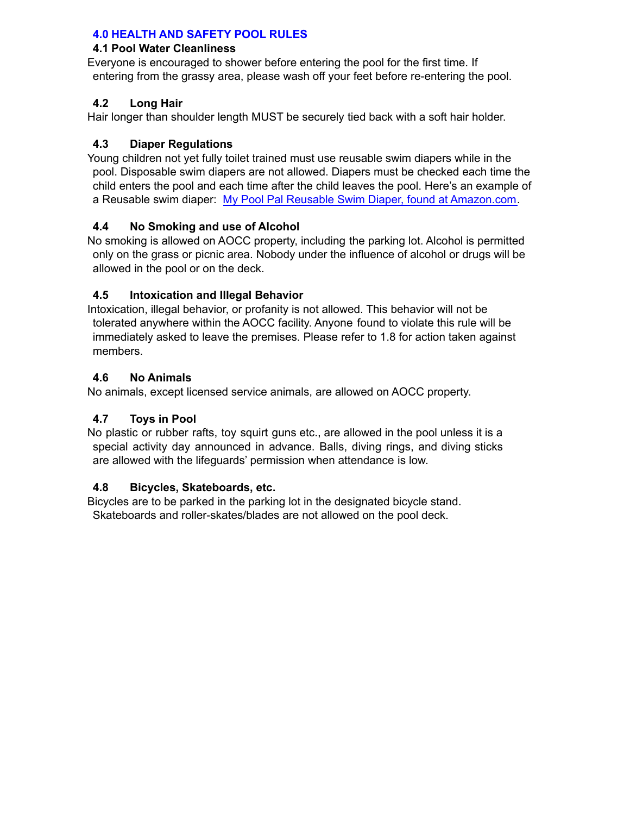#### **4.0 HEALTH AND SAFETY POOL RULES**

#### **4.1 Pool Water Cleanliness**

Everyone is encouraged to shower before entering the pool for the first time. If entering from the grassy area, please wash off your feet before re-entering the pool.

#### **4.2 Long Hair**

Hair longer than shoulder length MUST be securely tied back with a soft hair holder.

#### **4.3 Diaper Regulations**

Young children not yet fully toilet trained must use reusable swim diapers while in the pool. Disposable swim diapers are not allowed. Diapers must be checked each time the child enters the pool and each time after the child leaves the pool. Here's an example of a Reusable swim diaper: My Pool Pal Reusable Swim Diaper, found at [Amazon.com.](http://www.amazon.com/Reusable-Diaper-Cover-Printed-Months/dp/B00820J9ZW/ref%3Dsr_1_8?ie=UTF8&qid=1371144672&sr=8-8&keywords=rubber%2Bswim%2Bpants%2Bfor%2Bbaby)

#### **4.4 No Smoking and use of Alcohol**

No smoking is allowed on AOCC property, including the parking lot. Alcohol is permitted only on the grass or picnic area. Nobody under the influence of alcohol or drugs will be allowed in the pool or on the deck.

#### **4.5 Intoxication and Illegal Behavior**

Intoxication, illegal behavior, or profanity is not allowed. This behavior will not be tolerated anywhere within the AOCC facility. Anyone found to violate this rule will be immediately asked to leave the premises. Please refer to 1.8 for action taken against members.

#### **4.6 No Animals**

No animals, except licensed service animals, are allowed on AOCC property.

#### **4.7 Toys in Pool**

No plastic or rubber rafts, toy squirt guns etc., are allowed in the pool unless it is a special activity day announced in advance. Balls, diving rings, and diving sticks are allowed with the lifeguards' permission when attendance is low.

#### **4.8 Bicycles, Skateboards, etc.**

Bicycles are to be parked in the parking lot in the designated bicycle stand. Skateboards and roller-skates/blades are not allowed on the pool deck.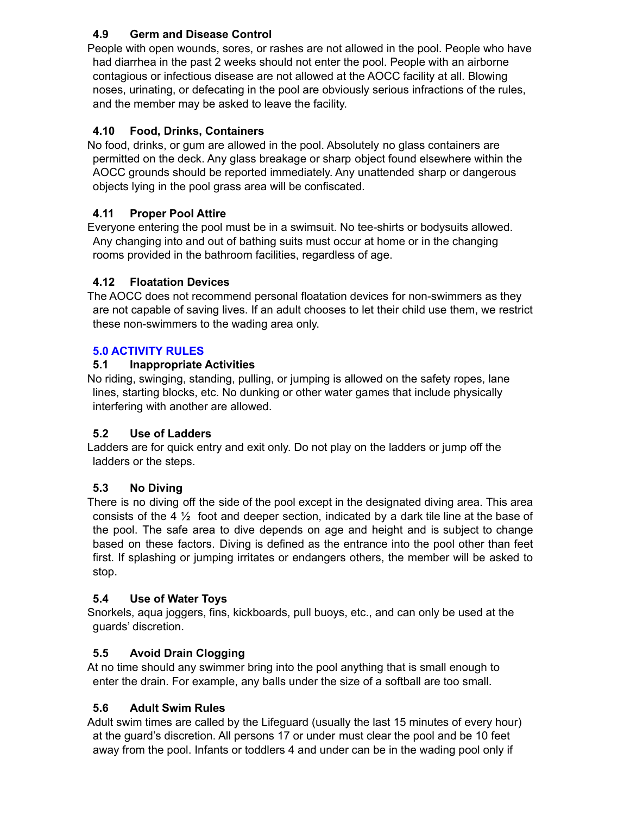### **4.9 Germ and Disease Control**

People with open wounds, sores, or rashes are not allowed in the pool. People who have had diarrhea in the past 2 weeks should not enter the pool. People with an airborne contagious or infectious disease are not allowed at the AOCC facility at all. Blowing noses, urinating, or defecating in the pool are obviously serious infractions of the rules, and the member may be asked to leave the facility.

### **4.10 Food, Drinks, Containers**

No food, drinks, or gum are allowed in the pool. Absolutely no glass containers are permitted on the deck. Any glass breakage or sharp object found elsewhere within the AOCC grounds should be reported immediately. Any unattended sharp or dangerous objects lying in the pool grass area will be confiscated.

#### **4.11 Proper Pool Attire**

Everyone entering the pool must be in a swimsuit. No tee-shirts or bodysuits allowed. Any changing into and out of bathing suits must occur at home or in the changing rooms provided in the bathroom facilities, regardless of age.

#### **4.12 Floatation Devices**

The AOCC does not recommend personal floatation devices for non-swimmers as they are not capable of saving lives. If an adult chooses to let their child use them, we restrict these non-swimmers to the wading area only.

#### **5.0 ACTIVITY RULES**

#### **5.1 Inappropriate Activities**

No riding, swinging, standing, pulling, or jumping is allowed on the safety ropes, lane lines, starting blocks, etc. No dunking or other water games that include physically interfering with another are allowed.

#### **5.2 Use of Ladders**

Ladders are for quick entry and exit only. Do not play on the ladders or jump off the ladders or the steps.

#### **5.3 No Diving**

There is no diving off the side of the pool except in the designated diving area. This area consists of the 4  $\frac{1}{2}$  foot and deeper section, indicated by a dark tile line at the base of the pool. The safe area to dive depends on age and height and is subject to change based on these factors. Diving is defined as the entrance into the pool other than feet first. If splashing or jumping irritates or endangers others, the member will be asked to stop.

#### **5.4 Use of Water Toys**

Snorkels, aqua joggers, fins, kickboards, pull buoys, etc., and can only be used at the guards' discretion.

### **5.5 Avoid Drain Clogging**

At no time should any swimmer bring into the pool anything that is small enough to enter the drain. For example, any balls under the size of a softball are too small.

#### **5.6 Adult Swim Rules**

Adult swim times are called by the Lifeguard (usually the last 15 minutes of every hour) at the guard's discretion. All persons 17 or under must clear the pool and be 10 feet away from the pool. Infants or toddlers 4 and under can be in the wading pool only if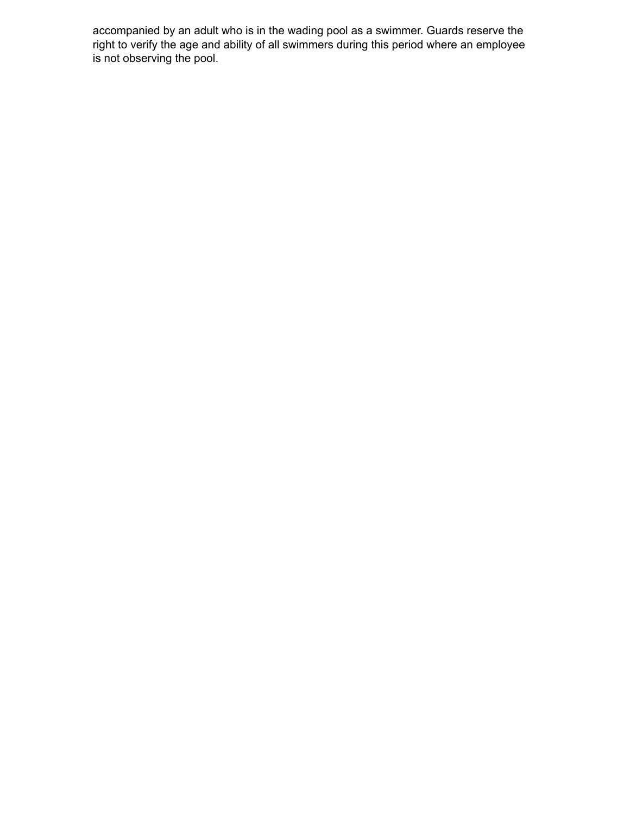accompanied by an adult who is in the wading pool as a swimmer. Guards reserve the right to verify the age and ability of all swimmers during this period where an employee is not observing the pool.